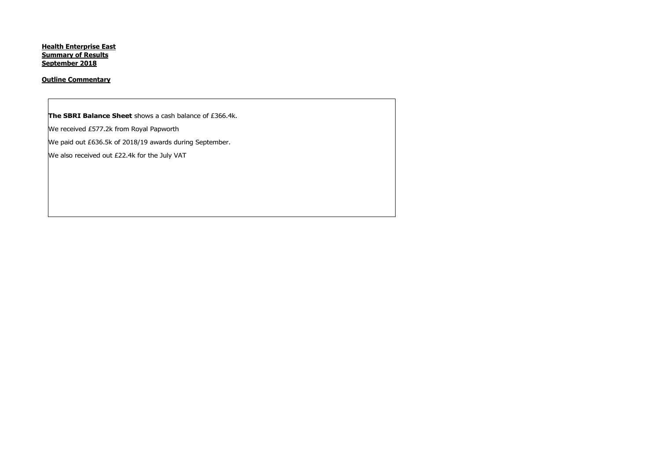**Health Enterprise East Summary of Results September 2018**

# **Outline Commentary**

**The SBRI Balance Sheet** shows a cash balance of £366.4k.

We received £577.2k from Royal Papworth

We paid out £636.5k of 2018/19 awards during September.

We also received out £22.4k for the July VAT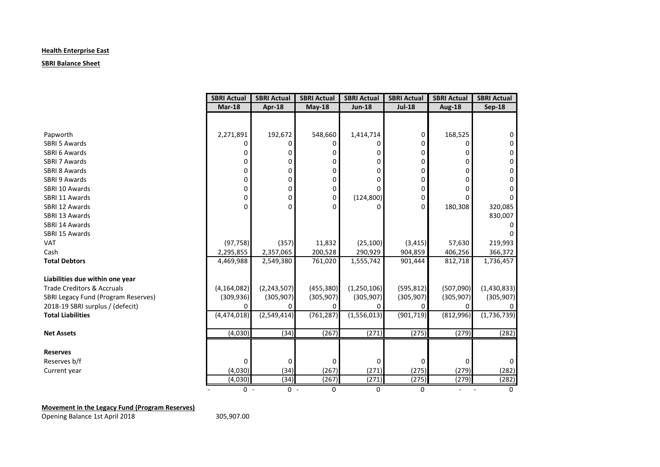# **Health Enterprise East**

## **SBRI Balance Sheet**

|                                       | <b>SBRI Actual</b> | <b>SBRI Actual</b> | <b>SBRI Actual</b> | <b>SBRI Actual</b> | <b>SBRI Actual</b> | <b>SBRI Actual</b>       | <b>SBRI Actual</b> |
|---------------------------------------|--------------------|--------------------|--------------------|--------------------|--------------------|--------------------------|--------------------|
|                                       | $Mar-18$           | Apr-18             | May-18             | <b>Jun-18</b>      | <b>Jul-18</b>      | <b>Aug-18</b>            | <b>Sep-18</b>      |
|                                       |                    |                    |                    |                    |                    |                          |                    |
|                                       |                    |                    |                    |                    |                    |                          |                    |
| Papworth                              | 2,271,891          | 192,672            | 548,660            | 1,414,714          | 0                  | 168,525                  | 0                  |
| SBRI 5 Awards                         |                    | 0                  | 0                  | ŋ                  | 0                  | O                        |                    |
| SBRI 6 Awards                         |                    | 0                  | 0                  | 0                  | 0                  | O                        | 0                  |
| SBRI 7 Awards                         | 0                  | 0                  | 0                  | 0                  | 0                  | 0                        | 0                  |
| SBRI 8 Awards                         | 0                  | n                  | 0                  | ŋ                  | 0                  | n                        | 0                  |
| SBRI 9 Awards                         | 0                  | 0                  | 0                  | 0                  | 0                  | 0                        |                    |
| SBRI 10 Awards                        | 0                  | 0                  | 0                  | $\Omega$           | 0                  | 0                        |                    |
| SBRI 11 Awards                        | 0                  | 0                  | 0                  | (124, 800)         | 0                  | 0                        |                    |
| SBRI 12 Awards                        | $\Omega$           | $\Omega$           | 0                  | O                  | 0                  | 180,308                  | 320,085            |
| SBRI 13 Awards                        |                    |                    |                    |                    |                    |                          | 830,007            |
| SBRI 14 Awards                        |                    |                    |                    |                    |                    |                          |                    |
| SBRI 15 Awards                        |                    |                    |                    |                    |                    |                          |                    |
| <b>VAT</b>                            | (97, 758)          | (357)              | 11,832             | (25, 100)          | (3, 415)           | 57,630                   | 219,993            |
| Cash                                  | 2,295,855          | 2,357,065          | 200,528            | 290,929            | 904,859            | 406,256                  | 366,372            |
| <b>Total Debtors</b>                  | 4,469,988          | 2,549,380          | 761,020            | 1,555,742          | 901,444            | 812,718                  | 1,736,457          |
|                                       |                    |                    |                    |                    |                    |                          |                    |
| Liabilities due within one year       |                    |                    |                    |                    |                    |                          |                    |
| <b>Trade Creditors &amp; Accruals</b> | (4, 164, 082)      | (2, 243, 507)      | (455, 380)         | (1,250,106)        | (595, 812)         | (507,090)                | (1,430,833)        |
| SBRI Legacy Fund (Program Reserves)   | (309, 936)         | (305, 907)         | (305, 907)         | (305, 907)         | (305, 907)         | (305, 907)               | (305, 907)         |
| 2018-19 SBRI surplus / (defecit)      |                    | n                  |                    | <sup>n</sup>       |                    | U                        |                    |
| <b>Total Liabilities</b>              | (4,474,018)        | (2,549,414)        | (761, 287)         | (1,556,013)        | (901, 719)         | (812,996)                | (1,736,739)        |
|                                       |                    |                    |                    |                    |                    |                          |                    |
| <b>Net Assets</b>                     | (4,030)            | (34)               | (267)              | (271)              | (275)              | (279)                    | (282)              |
|                                       |                    |                    |                    |                    |                    |                          |                    |
| <b>Reserves</b>                       |                    |                    |                    |                    |                    |                          |                    |
| Reserves b/f                          | 0                  | 0                  | 0                  | 0                  | $\Omega$           | 0                        | 0                  |
| Current year                          | (4,030)            | (34)               | (267)              | (271)              | (275)              | (279)                    | (282)              |
|                                       | (4,030)            | (34)               | (267)              | (271)              | (275)              | (279)                    | (282)              |
|                                       | $0 -$              | $0 -$              | 0                  | 0                  | 0                  | $\overline{\phantom{a}}$ | 0                  |

# **Movement in the Legacy Fund (Program Reserves)**

Opening Balance 1st April 2018 305,907.00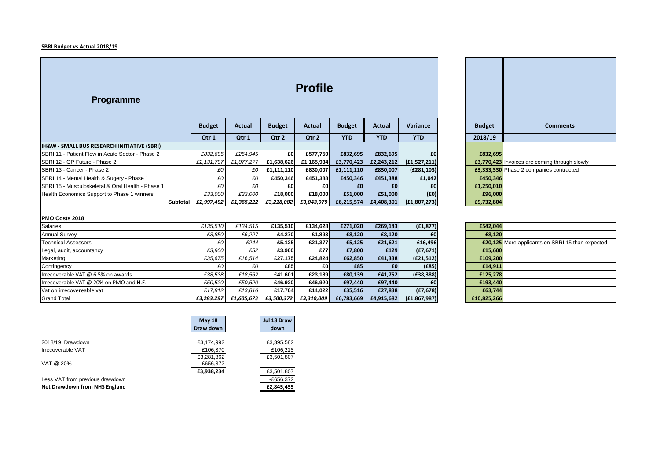#### **SBRI Budget vs Actual 2018/19**

| <b>Programme</b>                                       |          |               |                                                                                   |               | <b>Profile</b> |                 |                 |                |                 |                                                      |
|--------------------------------------------------------|----------|---------------|-----------------------------------------------------------------------------------|---------------|----------------|-----------------|-----------------|----------------|-----------------|------------------------------------------------------|
|                                                        |          | <b>Budget</b> | <b>Budget</b><br><b>Budget</b><br><b>Actual</b><br><b>Actual</b><br><b>Actual</b> |               |                |                 | <b>Variance</b> | <b>Budget</b>  | <b>Comments</b> |                                                      |
|                                                        |          | Qtr 1         | Qtr 1                                                                             | Qtr 2         | Qtr 2          | <b>YTD</b>      | <b>YTD</b>      | <b>YTD</b>     | 2018/19         |                                                      |
| <b>IH&amp;W - SMALL BUS RESEARCH INITIATIVE (SBRI)</b> |          |               |                                                                                   |               |                |                 |                 |                |                 |                                                      |
| SBRI 11 - Patient Flow in Acute Sector - Phase 2       |          | £832,695      | £254,945                                                                          | £0            | £577,750       | £832,695        | £832,695        | £0             | £832,695        |                                                      |
| SBRI 12 - GP Future - Phase 2                          |          | £2,131,797    | £1,077,277                                                                        | £1,638,626    | £1,165,934     | £3,770,423      | £2,243,212      | (f1,527,211)   |                 | <b>£3,770,423</b> Invoices are coming through slowly |
| SBRI 13 - Cancer - Phase 2                             |          | £0            | £0                                                                                | £1,111,110    | £830,007       | £1,111,110      | £830,007        | (E281, 103)    |                 | £3,333,330 Phase 2 companies contracted              |
| SBRI 14 - Mental Health & Sugery - Phase 1             |          | £0            | £0                                                                                | £450,346      | £451,388       | £450,346        | £451,388        | £1,042         | £450,346        |                                                      |
| SBRI 15 - Musculoskeletal & Oral Health - Phase 1      |          | £0            | £0                                                                                | £0            | £O             | £0              | £0              | £0             | £1,250,010      |                                                      |
| Health Economics Support to Phase 1 winners            |          | £33,000       | £33,000                                                                           | £18,000       | £18,000        | £51,000         | £51,000         | (f0)           | £96,000         |                                                      |
|                                                        | Subtotal | £2,997,492    | £1,365,222                                                                        | £3,218,082    | £3,043,079     | £6,215,574      | £4,408,301      | (E1, 807, 273) | £9,732,804      |                                                      |
| PMO Costs 2018                                         |          |               |                                                                                   |               |                |                 |                 |                |                 |                                                      |
| Salaries                                               |          | £135,510      | £134,515                                                                          | £135,510      | £134,628       | £271,020        | £269,143        | (E1, 877)      | £542,044        |                                                      |
| <b>Annual Survey</b>                                   |          | £3,850        | £6,227                                                                            | £4,270        | £1,893         | £8,120          | £8,120          | £0             | £8.120          |                                                      |
| <b>Technical Assessors</b>                             |          | £0            | £244                                                                              | £5,125        | £21,377        | £5,125          | £21,621         | £16,496        |                 | £20,125 More applicants on SBRI 15 than expected     |
| Legal, audit, accountancy                              |          | £3,900        | £52                                                                               | £3,900        | £77            | £7,800          | £129            | (f7,671)       | £15,600         |                                                      |
| Marketing                                              |          | 635675        | 616511                                                                            | <b>£27475</b> | LCR VCJ        | <b>EGO REAL</b> | £41 228         | (52151)        | £109.200        |                                                      |

| <b>Budget</b> | <b>Comments</b>                               |
|---------------|-----------------------------------------------|
| 2018/19       |                                               |
|               |                                               |
| £832,695      |                                               |
|               | £3,770,423 Invoices are coming through slowly |
|               | £3,333,330 Phase 2 companies contracted       |
| £450,346      |                                               |
| £1,250,010    |                                               |
| £96,000       |                                               |
| £9,732,804    |                                               |

| <b>Salaries</b>                         | £135.510   | £134.515   | £135,510   | £134.628   | £271,020   | £269,143   | (E1, 877)      | £542,044    |
|-----------------------------------------|------------|------------|------------|------------|------------|------------|----------------|-------------|
| <b>Annual Survey</b>                    | £3.850     | £6.227     | £4.270     | £1.893     | £8,120     | £8,120     | £0             | £8,120      |
| <b>Technical Assessors</b>              | £0         | £244       | £5.125     | £21.377    | £5,125     | £21,621    | £16,496        | £20,125     |
| Legal, audit, accountancy               | £3.900     | £52        | £3,900     | £77        | £7,800     | £129       | (E7, 671)      | £15,600     |
| Marketing                               | £35.675    | £16.514    | £27,175    | £24.824    | £62,850    | £41,338    | (E21, 512)     | £109,200    |
| Contingency                             | £0         | £O         | £85        | £O         | £85        | £0         | (E85)          | £14,911     |
| Irrecoverable VAT @ 6.5% on awards      | £38,538    | £18.562    | £41,601    | £23.189    | £80,139    | £41,752    | (E38, 388)     | £125,278    |
| Irrecoverable VAT @ 20% on PMO and H.E. | £50.520    | £50.520    | £46,920    | £46,920    | £97,440    | £97.440    | £0             | £193,440    |
| Vat on irrecovereable vat               | £17.812    | £13.816    | £17.704    | £14.022    | £35,516    | £27,838    | (E7, 678)      | £63,744     |
| <b>Grand Total</b>                      | £3,283,297 | £1,605,673 | £3,500,372 | £3,310,009 | £6,783,669 | £4,915,682 | (E1, 867, 987) | £10,825,266 |

| £542,044    |                                                         |
|-------------|---------------------------------------------------------|
| £8,120      |                                                         |
|             | <b>£20,125</b> More applicants on SBRI 15 than expected |
| £15,600     |                                                         |
| £109,200    |                                                         |
| £14,911     |                                                         |
| £125,278    |                                                         |
| £193,440    |                                                         |
| £63,744     |                                                         |
| £10,825,266 |                                                         |

|                                 | <b>May 18</b><br>Draw down | Jul 18 Draw<br>down |
|---------------------------------|----------------------------|---------------------|
| 2018/19 Drawdown                | £3,174,992                 | £3,395,582          |
| Irrecoverable VAT               | £106,870                   | £106,225            |
|                                 | £3,281,862                 | £3,501,807          |
| VAT @ 20%                       | £656,372                   |                     |
|                                 | £3,938,234                 | £3,501,807          |
| Less VAT from previous drawdown |                            | $-E656,372$         |
| Net Drawdown from NHS England   |                            | £2,845,435          |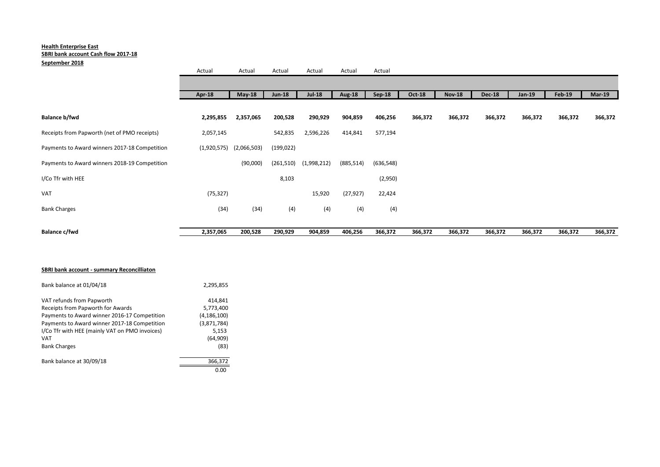## **Health Enterprise East SBRI bank account Cash flow 2017-18**

## **September 2018**

| Balance c/fwd                                 | 2,357,065     | 200,528     | 290,929       | 904,859       | 406,256       | 366,372    | 366,372 | 366,372       | 366,372       | 366,372 | 366,372       | 366,372  |
|-----------------------------------------------|---------------|-------------|---------------|---------------|---------------|------------|---------|---------------|---------------|---------|---------------|----------|
|                                               |               |             |               |               |               |            |         |               |               |         |               |          |
| <b>Bank Charges</b>                           | (34)          | (34)        | (4)           | (4)           | (4)           | (4)        |         |               |               |         |               |          |
| VAT                                           | (75, 327)     |             |               | 15,920        | (27, 927)     | 22,424     |         |               |               |         |               |          |
| I/Co Tfr with HEE                             |               |             | 8,103         |               |               | (2,950)    |         |               |               |         |               |          |
| Payments to Award winners 2018-19 Competition |               | (90,000)    | (261, 510)    | (1,998,212)   | (885, 514)    | (636, 548) |         |               |               |         |               |          |
| Payments to Award winners 2017-18 Competition | (1,920,575)   | (2,066,503) | (199, 022)    |               |               |            |         |               |               |         |               |          |
| Receipts from Papworth (net of PMO receipts)  | 2,057,145     |             | 542,835       | 2,596,226     | 414,841       | 577,194    |         |               |               |         |               |          |
| Balance b/fwd                                 | 2,295,855     | 2,357,065   | 200,528       | 290,929       | 904,859       | 406,256    | 366,372 | 366,372       | 366,372       | 366,372 | 366,372       | 366,372  |
|                                               |               |             |               |               |               |            |         |               |               |         |               |          |
|                                               | <b>Apr-18</b> | $May-18$    | <b>Jun-18</b> | <b>Jul-18</b> | <b>Aug-18</b> | Sep-18     | Oct-18  | <b>Nov-18</b> | <b>Dec-18</b> | Jan-19  | <b>Feb-19</b> | $Mar-19$ |
|                                               |               |             |               |               |               |            |         |               |               |         |               |          |
|                                               | Actual        | Actual      | Actual        | Actual        | Actual        | Actual     |         |               |               |         |               |          |

## **SBRI bank account - summary Reconcilliaton**

| Bank balance at 01/04/18                       | 2,295,855     |
|------------------------------------------------|---------------|
| VAT refunds from Papworth                      | 414.841       |
| Receipts from Papworth for Awards              | 5,773,400     |
| Payments to Award winner 2016-17 Competition   | (4, 186, 100) |
| Payments to Award winner 2017-18 Competition   | (3,871,784)   |
| I/Co Tfr with HEE (mainly VAT on PMO invoices) | 5,153         |
| <b>VAT</b>                                     | (64,909)      |
| <b>Bank Charges</b>                            | (83)          |
| Bank balance at 30/09/18                       | 366,372       |
|                                                | 0.00          |